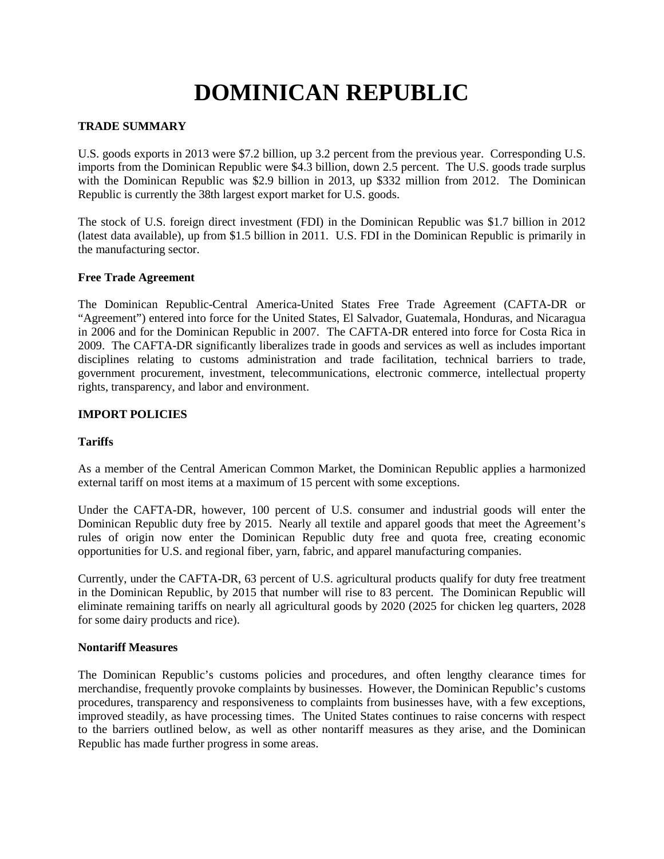# **DOMINICAN REPUBLIC**

## **TRADE SUMMARY**

U.S. goods exports in 2013 were \$7.2 billion, up 3.2 percent from the previous year. Corresponding U.S. imports from the Dominican Republic were \$4.3 billion, down 2.5 percent. The U.S. goods trade surplus with the Dominican Republic was \$2.9 billion in 2013, up \$332 million from 2012. The Dominican Republic is currently the 38th largest export market for U.S. goods.

The stock of U.S. foreign direct investment (FDI) in the Dominican Republic was \$1.7 billion in 2012 (latest data available), up from \$1.5 billion in 2011. U.S. FDI in the Dominican Republic is primarily in the manufacturing sector.

#### **Free Trade Agreement**

The Dominican Republic-Central America-United States Free Trade Agreement (CAFTA-DR or "Agreement") entered into force for the United States, El Salvador, Guatemala, Honduras, and Nicaragua in 2006 and for the Dominican Republic in 2007. The CAFTA-DR entered into force for Costa Rica in 2009. The CAFTA-DR significantly liberalizes trade in goods and services as well as includes important disciplines relating to customs administration and trade facilitation, technical barriers to trade, government procurement, investment, telecommunications, electronic commerce, intellectual property rights, transparency, and labor and environment.

## **IMPORT POLICIES**

## **Tariffs**

As a member of the Central American Common Market, the Dominican Republic applies a harmonized external tariff on most items at a maximum of 15 percent with some exceptions.

Under the CAFTA-DR, however, 100 percent of U.S. consumer and industrial goods will enter the Dominican Republic duty free by 2015. Nearly all textile and apparel goods that meet the Agreement's rules of origin now enter the Dominican Republic duty free and quota free, creating economic opportunities for U.S. and regional fiber, yarn, fabric, and apparel manufacturing companies.

Currently, under the CAFTA-DR, 63 percent of U.S. agricultural products qualify for duty free treatment in the Dominican Republic, by 2015 that number will rise to 83 percent. The Dominican Republic will eliminate remaining tariffs on nearly all agricultural goods by 2020 (2025 for chicken leg quarters, 2028 for some dairy products and rice).

#### **Nontariff Measures**

The Dominican Republic's customs policies and procedures, and often lengthy clearance times for merchandise, frequently provoke complaints by businesses. However, the Dominican Republic's customs procedures, transparency and responsiveness to complaints from businesses have, with a few exceptions, improved steadily, as have processing times. The United States continues to raise concerns with respect to the barriers outlined below, as well as other nontariff measures as they arise, and the Dominican Republic has made further progress in some areas.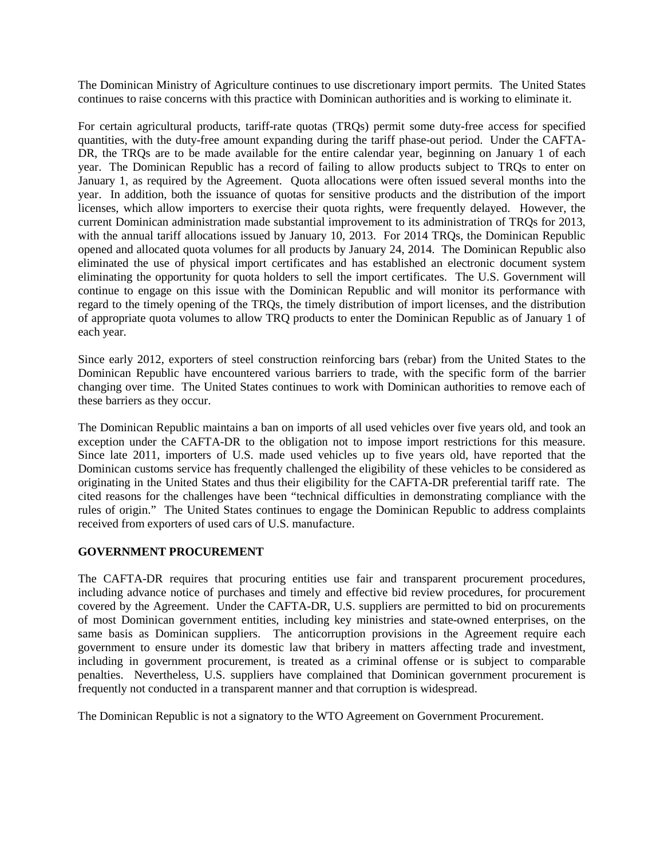The Dominican Ministry of Agriculture continues to use discretionary import permits. The United States continues to raise concerns with this practice with Dominican authorities and is working to eliminate it.

For certain agricultural products, tariff-rate quotas (TRQs) permit some duty-free access for specified quantities, with the duty-free amount expanding during the tariff phase-out period. Under the CAFTA-DR, the TRQs are to be made available for the entire calendar year, beginning on January 1 of each year. The Dominican Republic has a record of failing to allow products subject to TRQs to enter on January 1, as required by the Agreement. Quota allocations were often issued several months into the year. In addition, both the issuance of quotas for sensitive products and the distribution of the import licenses, which allow importers to exercise their quota rights, were frequently delayed. However, the current Dominican administration made substantial improvement to its administration of TRQs for 2013, with the annual tariff allocations issued by January 10, 2013. For 2014 TRQs, the Dominican Republic opened and allocated quota volumes for all products by January 24, 2014. The Dominican Republic also eliminated the use of physical import certificates and has established an electronic document system eliminating the opportunity for quota holders to sell the import certificates. The U.S. Government will continue to engage on this issue with the Dominican Republic and will monitor its performance with regard to the timely opening of the TRQs, the timely distribution of import licenses, and the distribution of appropriate quota volumes to allow TRQ products to enter the Dominican Republic as of January 1 of each year.

Since early 2012, exporters of steel construction reinforcing bars (rebar) from the United States to the Dominican Republic have encountered various barriers to trade, with the specific form of the barrier changing over time. The United States continues to work with Dominican authorities to remove each of these barriers as they occur.

The Dominican Republic maintains a ban on imports of all used vehicles over five years old, and took an exception under the CAFTA-DR to the obligation not to impose import restrictions for this measure. Since late 2011, importers of U.S. made used vehicles up to five years old, have reported that the Dominican customs service has frequently challenged the eligibility of these vehicles to be considered as originating in the United States and thus their eligibility for the CAFTA-DR preferential tariff rate. The cited reasons for the challenges have been "technical difficulties in demonstrating compliance with the rules of origin." The United States continues to engage the Dominican Republic to address complaints received from exporters of used cars of U.S. manufacture.

## **GOVERNMENT PROCUREMENT**

The CAFTA-DR requires that procuring entities use fair and transparent procurement procedures, including advance notice of purchases and timely and effective bid review procedures, for procurement covered by the Agreement. Under the CAFTA-DR, U.S. suppliers are permitted to bid on procurements of most Dominican government entities, including key ministries and state-owned enterprises, on the same basis as Dominican suppliers. The anticorruption provisions in the Agreement require each government to ensure under its domestic law that bribery in matters affecting trade and investment, including in government procurement, is treated as a criminal offense or is subject to comparable penalties. Nevertheless, U.S. suppliers have complained that Dominican government procurement is frequently not conducted in a transparent manner and that corruption is widespread.

The Dominican Republic is not a signatory to the WTO Agreement on Government Procurement.